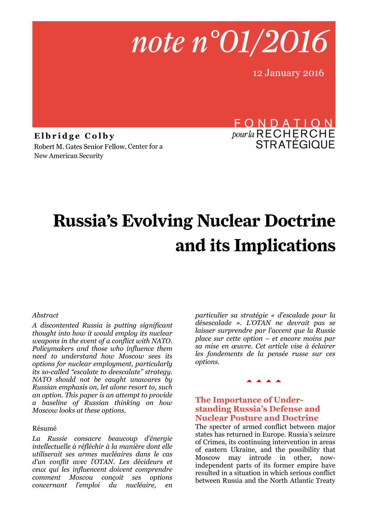

12 January 2016

Elbridge Colby Robert M. Gates Senior Fellow, Center for a New American Security

# FONDATION *pour la* RECHERCHE<br>STRATÉGIQUE

# **Russia's Evolving Nuclear Doctrine** and its Implications

#### *Abstract*

*A discontented Russia is putting significant thought into how it would employ its nuclear weapons in the event of a conflict with NATO. Policymakers and those who influence them need to understand how Moscow sees its options for nuclear employment, particularly its so-called "escalate to deescalate" strategy. NATO should not be caught unawares by Russian emphasis on, let alone resort to, such an option. This paper is an attempt to provide a baseline of Russian thinking on how Moscow looks at these options.*

#### Résumé

*La Russie consacre beaucoup d'énergie intellectuelle à réfléchir à la manière dont elle utiliserait ses armes nucléaires dans le cas d'un conflit avec l'OTAN. Les décideurs et ceux qui les influencent doivent comprendre comment Moscou conçoit ses options concernant l'emploi du nucléaire, en* 

*particulier sa stratégie « d'escalade pour la désescalade ». L'OTAN ne devrait pas se laisser surprendre par l'accent que la Russie place sur cette option – et encore moins par sa mise en œuvre. Cet article vise à éclairer les fondements de la pensée russe sur ces options.* 

#### **AAAA**

#### **The Importance of Understanding Russia's Defense and Nuclear Posture and Doctrine**

The specter of armed conflict between major states has returned in Europe. Russia's seizure of Crimea, its continuing intervention in areas of eastern Ukraine, and the possibility that Moscow may intrude in other, nowindependent parts of its former empire have resulted in a situation in which serious conflict between Russia and the North Atlantic Treaty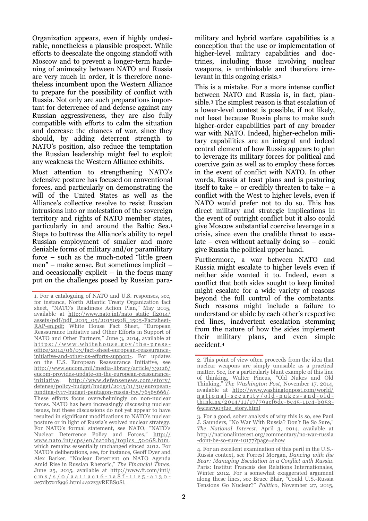Organization appears, even if highly undesirable, nonetheless a plausible prospect. While efforts to deescalate the ongoing standoff with Moscow and to prevent a longer-term hardening of animosity between NATO and Russia are very much in order, it is therefore nonetheless incumbent upon the Western Alliance to prepare for the possibility of conflict with Russia. Not only are such preparations important for deterrence of and defense against any Russian aggressiveness, they are also fully compatible with efforts to calm the situation and decrease the chances of war, since they should, by adding deterrent strength to NATO's position, also reduce the temptation the Russian leadership might feel to exploit any weakness the Western Alliance exhibits.

Most attention to strengthening NATO's defensive posture has focused on conventional forces, and particularly on demonstrating the will of the United States as well as the Alliance's collective resolve to resist Russian intrusions into or molestation of the sovereign territory and rights of NATO member states, particularly in and around the Baltic Sea.<sup>1</sup> Steps to buttress the Alliance's ability to repel Russian employment of smaller and more deniable forms of military and/or paramilitary force – such as the much-noted "little green men" – make sense. But sometimes implicit – and occasionally explicit – in the focus many put on the challenges posed by Russian para-

military and hybrid warfare capabilities is a conception that the use or implementation of higher-level military capabilities and doctrines, including those involving nuclear weapons, is unthinkable and therefore irrelevant in this ongoing crisis.<sup>2</sup>

This is a mistake. For a more intense conflict between NATO and Russia is, in fact, plausible.<sup>3</sup> The simplest reason is that escalation of a lower-level contest is possible, if not likely, not least because Russia plans to make such higher-order capabilities part of any broader war with NATO. Indeed, higher-echelon military capabilities are an integral and indeed central element of how Russia appears to plan to leverage its military forces for political and coercive gain as well as to employ these forces in the event of conflict with NATO. In other words, Russia at least plans and is posturing itself to take – or credibly threaten to take –  $a$ conflict with the West to higher levels, even if NATO would prefer not to do so. This has direct military and strategic implications in the event of outright conflict but it also could give Moscow substantial coercive leverage in a crisis, since even the credible threat to escalate – even without actually doing so – could give Russia the political upper hand.

Furthermore, a war between NATO and Russia might escalate to higher levels even if neither side wanted it to. Indeed, even a conflict that both sides sought to keep limited might escalate for a wide variety of reasons beyond the full control of the combatants. Such reasons might include a failure to understand or abide by each other's respective red lines, inadvertent escalation stemming from the nature of how the sides implement their military plans, and even simple accident.<sup>4</sup>

<sup>1.</sup> For a cataloguing of NATO and U.S. responses, see, for instance, North Atlantic Treaty Organization fact sheet, "NATO's Readiness Action Plan," May 2015, available at [http://www.nato.int/nato\\_static\\_fl2014/](http://www.nato.int/nato_static_fl2014/assets/pdf/pdf_2015_05/20150508_1505-Factsheet-RAP-en.pdf) [assets/pdf/pdf\\_2015\\_05/20150508\\_1505-Factsheet-](http://www.nato.int/nato_static_fl2014/assets/pdf/pdf_2015_05/20150508_1505-Factsheet-RAP-en.pdf)[RAP-en.pdf](http://www.nato.int/nato_static_fl2014/assets/pdf/pdf_2015_05/20150508_1505-Factsheet-RAP-en.pdf); White House Fact Sheet, "European Reassurance Initiative and Other Efforts in Support of NATO and Other Partners," June 3, 2014, available at https://www.whitehouse.gov/the-press[office/2014/06/03/fact-sheet-european-reassurance](https://www.whitehouse.gov/the-press-office/2014/06/03/fact-sheet-european-reassurance-initiative-and-other-us-efforts-support-)[initiative-and-other-us-efforts-support-.](https://www.whitehouse.gov/the-press-office/2014/06/03/fact-sheet-european-reassurance-initiative-and-other-us-efforts-support-) For updates on the U.S. European Reassurance Initiative, see http://www.eucom.mil/media-library/article/33026/ eucom-provides-update-on-the-european-reassuranceinitiative; [http://www.defensenews.com/story/](http://www.defensenews.com/story/defense/policy-budget/budget/2015/11/30/european-funding-fy17-budget-pentagon-russia-f35/76565666/) [defense/policy-budget/budget/2015/11/30/european](http://www.defensenews.com/story/defense/policy-budget/budget/2015/11/30/european-funding-fy17-budget-pentagon-russia-f35/76565666/)[funding-fy17-budget-pentagon-russia-f35/76565666/.](http://www.defensenews.com/story/defense/policy-budget/budget/2015/11/30/european-funding-fy17-budget-pentagon-russia-f35/76565666/) These efforts focus overwhelmingly on non-nuclear forces. NATO has been increasingly discussing nuclear issues, but these discussions do not yet appear to have resulted in significant modifications to NATO's nuclear posture or in light of Russia's evolved nuclear strategy. For NATO's formal statement, see NATO, "NATO's Nuclear Deterrence Policy and Forces," [http://](http://www.nato.int/cps/en/natohq/topics_50068.htm) [www.nato.int/cps/en/natohq/topics\\_50068.htm,](http://www.nato.int/cps/en/natohq/topics_50068.htm) which remains essentially unchanged sinced 2012. For NATO's deliberations, see, for instance, Geoff Dyer and Alex Barker, "Nuclear Deterrent on NATO Agenda Amid Rise in Russian Rhetoric," *The Financial Times*, June 25, 2015, available at [http://www.ft.com/intl/](http://www.ft.com/intl/cms/s/0/aa11ac16-1a8f-11e5-a130-2e7db721f996.html#axzz3vREBS0Sl) [c m s / s / 0 / a a 1 1 a c 1 6](http://www.ft.com/intl/cms/s/0/aa11ac16-1a8f-11e5-a130-2e7db721f996.html#axzz3vREBS0Sl) - 1 a 8 f - 1 1 e 5 - a 1 3 0 - [2e7db721f996.html#axzz3vREBS0Sl.](http://www.ft.com/intl/cms/s/0/aa11ac16-1a8f-11e5-a130-2e7db721f996.html#axzz3vREBS0Sl)

<sup>2.</sup> This point of view often proceeds from the idea that nuclear weapons are simply unusable as a practical matter. See, for a particularly blunt example of this line of thinking, Walter Pincus, "Old Nukes and Old Thinking," *The Washington Post*, November 17, 2014, available at http://www.washingtonpost.com/world/ n a tional-security/old-nukes-and-oldthinking/2014/11/17/79acf6dc-6c45-11e4-b053- 65cea7903f2e\_story.html

<sup>3.</sup> For a good, sober analysis of why this is so, see Paul J. Saunders, "No War With Russia? Don't Be So Sure," *The National Interest*, April 3, 2014, available at http://nationalinterest.org/commentary/no-war-russia -dont-be-so-sure-10177?page=show

<sup>4.</sup> For an excellent examination of this peril in the U.S.- Russia context, see Forrest Morgan, *Dancing with the Bear: Managing Escalation in a Conflict with Russia*. Paris: Institut Francais des Relations Internationales, Winter 2012. For a somewhat exaggerated argument along these lines, see Bruce Blair, "Could U.S.-Russia Tensions Go Nuclear?" *Politico*, November 27, 2015,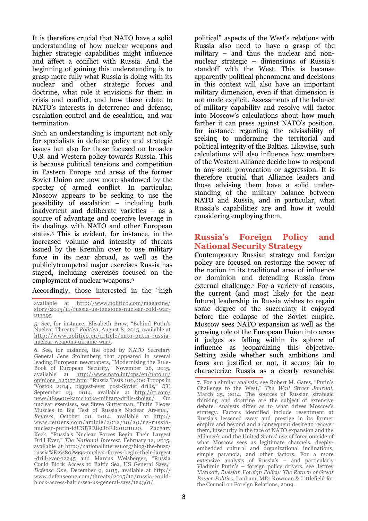It is therefore crucial that NATO have a solid understanding of how nuclear weapons and higher strategic capabilities might influence and affect a conflict with Russia. And the beginning of gaining this understanding is to grasp more fully what Russia is doing with its nuclear and other strategic forces and doctrine, what role it envisions for them in crisis and conflict, and how these relate to NATO's interests in deterrence and defense, escalation control and de-escalation, and war termination.

Such an understanding is important not only for specialists in defense policy and strategic issues but also for those focused on broader U.S. and Western policy towards Russia. This is because political tensions and competition in Eastern Europe and areas of the former Soviet Union are now more shadowed by the specter of armed conflict. In particular, Moscow appears to be seeking to use the possibility of escalation – including both inadvertent and deliberate varieties – as a source of advantage and coercive leverage in its dealings with NATO and other European states.<sup>5</sup> This is evident, for instance, in the increased volume and intensity of threats issued by the Kremlin over to use military force in its near abroad, as well as the publiclytrumpeted major exercises Russia has staged, including exercises focused on the employment of nuclear weapons.<sup>6</sup>

Accordingly, those interested in the "high

6. See, for instance, the oped by NATO Secretary General Jens Stoltenberg that appeared in several leading European newspapers, "Modernising the Rule-Book of European Security," November 26, 2015, available at <u>[http://www.nato.int/cps/en/natohq/](http://www.nato.int/cps/en/natohq/opinions_125177.htm)</u> [opinions\\_125177.htm](http://www.nato.int/cps/en/natohq/opinions_125177.htm); "Russia Tests 100,000 Troops in 'Vostok 2014', biggest-ever post-Soviet drills," *RT*, September 23, 2014, available at http://rt.com/ news/189900-kamchatka-military-drills-shoigu/. On nuclear exercises, see Steve Gutterman, "Putin Flexes Muscles in Big Test of Russia's Nuclear Arsenal," *Reuters*, October 20, 2014, available at http:// www.reuters.com/article/2012/10/20/us-russianuclear-putin-idUSBRE89J0EJ20121020, Zachary Keck, "Russia's Nuclear Forces Begin Their Largest Drill Ever," *The National Interest*, February 12, 2015, available at http://nationalinterest.org/blog/the-buzz/ russia%E2%80%99s-nuclear-forces-begin-their-largest -drill-ever-12245 and Marcus Weisberger, "Russia Could Block Access to Baltic Sea, US General Says," *Defense One,* December 9, 2015, available at [http://](http://www.defenseone.com/threats/2015/12/russia-could-block-access-baltic-sea-us-general-says/124361/) [www.defenseone.com/threats/2015/12/russia-could](http://www.defenseone.com/threats/2015/12/russia-could-block-access-baltic-sea-us-general-says/124361/)[block-access-baltic-sea-us-general-says/124361/.](http://www.defenseone.com/threats/2015/12/russia-could-block-access-baltic-sea-us-general-says/124361/)

political" aspects of the West's relations with Russia also need to have a grasp of the military – and thus the nuclear and nonnuclear strategic – dimensions of Russia's standoff with the West. This is because apparently political phenomena and decisions in this context will also have an important military dimension, even if that dimension is not made explicit. Assessments of the balance of military capability and resolve will factor into Moscow's calculations about how much farther it can press against NATO's position, for instance regarding the advisability of seeking to undermine the territorial and political integrity of the Baltics. Likewise, such calculations will also influence how members of the Western Alliance decide how to respond to any such provocation or aggression. It is therefore crucial that Alliance leaders and those advising them have a solid understanding of the military balance between NATO and Russia, and in particular, what Russia's capabilities are and how it would considering employing them.

## **Russia's Foreign Policy and National Security Strategy**

Contemporary Russian strategy and foreign policy are focused on restoring the power of the nation in its traditional area of influence or dominion and defending Russia from external challenge.<sup>7</sup> For a variety of reasons, the current (and most likely for the near future) leadership in Russia wishes to regain some degree of the suzerainty it enjoyed before the collapse of the Soviet empire. Moscow sees NATO expansion as well as the growing role of the European Union into areas it judges as falling within its sphere of influence as jeopardizing this objective. Setting aside whether such ambitions and fears are justified or not, it seems fair to characterize Russia as a clearly revanchist

7. For a similar analysis, see Robert M. Gates, "Putin's Challenge to the West," *The Wall Street Journal*, March 25, 2014. The sources of Russian strategic thinking and doctrine are the subject of extensive debate. Analysts differ as to what drives Moscow's strategy. Factors identified include resentment at Russia's lessened sway and prestige in its former empire and beyond and a consequent desire to recover them, insecurity in the face of NATO expansion and the Alliance's and the United States' use of force outside of what Moscow sees as legitimate channels, deeplyembedded cultural and organizational inclinations, simple paranoia, and other factors. For a more extensive analysis of Russia's – and particularly Vladimir Putin's – foreign policy drivers, see Jeffrey Mankoff, *Russian Foreign Policy: The Return of Great Power Politics*. Lanham, MD: Rowman & Littlefield for the Council on Foreign Relations, 2009.

available at http://www.politico.com/magazine/ story/2015/11/russia-us-tensions-nuclear-cold-war-213395

<sup>5.</sup> See, for instance, Elisabeth Braw, "Behind Putin's Nuclear Threats," *Politico*, August 8, 2015, available at [http://www.politico.eu/article/nato-putin-russia](http://www.politico.eu/article/nato-putin-russia-nuclear-weapons-ukraine-war/)[nuclear-weapons-ukraine-war/.](http://www.politico.eu/article/nato-putin-russia-nuclear-weapons-ukraine-war/)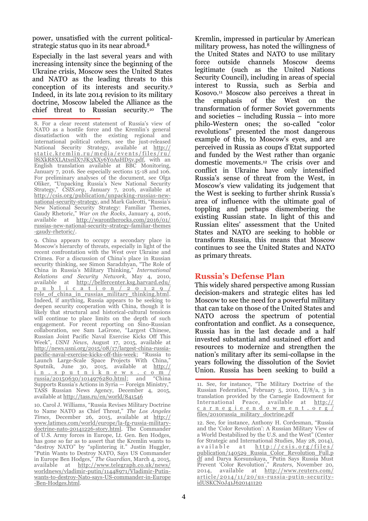power, unsatisfied with the current politicalstrategic status quo in its near abroad.<sup>8</sup>

Especially in the last several years and with increasing intensity since the beginning of the Ukraine crisis, Moscow sees the United States and NATO as the leading threats to this conception of its interests and security.<sup>9</sup> Indeed, in its late 2014 revision to its military doctrine, Moscow labeled the Alliance as the chief threat to Russian security.<sup>10</sup> The

9. China appears to occupy a secondary place in Moscow's hierarchy of threats, especially in light of the recent confrontation with the West over Ukraine and Crimea. For a discussion of China's place in Russian security thinking, see Simon Saradzhyan, "The Role of China in Russia's Military Thinking," *International Relations and Security Network*, May 4, 2010, available at http://belfercenter.ksg.harvard.edu/ p u b l i c a t i o n / 2 0 1 2 9 / role\_of\_china\_in\_russias\_military\_thinking.html. Indeed, if anything, Russia appears to be seeking to deepen security cooperation with China, though it is likely that structural and historical-cultural tensions will continue to place limits on the depth of such engagement. For recent reporting on Sino-Russian collaboration, see Sam LaGrone, "Largest Chinese, Russian Joint Pacific Naval Exercise Kicks Off This Week", *USNI News*, August 17, 2015, available at http://news.usni.org/2015/08/17/largest-china-russiapacific-naval-exercise-kicks-off-this-week; "Russia to Launch Large-Scale Space Projects With China," Sputnik, June 30, 2015, available at http://  $\frac{i}{\text{musia}/20150630}/\frac{i}{1014976280}$ , html: and "China"  $russia/20150630/1014976280.html$ ; and Supports Russia's Actions in Syria — Foreign Ministry," TASS Russian News Agency, December 4, 2015, available at http://tass.ru/en/world/841546

10. Carol J. Williams, "Russia Revises Military Doctrine to Name NATO as Chief Threat," *The Los Angeles Times*, December 26, 2015, available at [http://](http://www.latimes.com/world/europe/la-fg-russia-military-doctrine-nato-20141226-story.html) [www.latimes.com/world/europe/la-fg-russia-military](http://www.latimes.com/world/europe/la-fg-russia-military-doctrine-nato-20141226-story.html)[doctrine-nato-20141226-story.html.](http://www.latimes.com/world/europe/la-fg-russia-military-doctrine-nato-20141226-story.html) The Commander of U.S. Army forces in Europe, Lt. Gen. Ben Hodges, has gone so far as to assert that the Kremlin wants to "destroy NATO" by "splintering it." Justin Huggler, "Putin Wants to Destroy NATO, Says US Commander in Europe Ben Hodges," *The Guardian*, March 4, 2015, available at <u>[http://www.telegraph.co.uk/news/](http://www.telegraph.co.uk/news/worldnews/vladimir-putin/11448971/Vladimir-Putin-wants-to-destroy-Nato-says-US-commander-in-Europe-Ben-Hodges.html)</u> [worldnews/vladimir-putin/11448971/Vladimir-Putin](http://www.telegraph.co.uk/news/worldnews/vladimir-putin/11448971/Vladimir-Putin-wants-to-destroy-Nato-says-US-commander-in-Europe-Ben-Hodges.html)[wants-to-destroy-Nato-says-US-commander-in-Europe](http://www.telegraph.co.uk/news/worldnews/vladimir-putin/11448971/Vladimir-Putin-wants-to-destroy-Nato-says-US-commander-in-Europe-Ben-Hodges.html) [-Ben-Hodges.html.](http://www.telegraph.co.uk/news/worldnews/vladimir-putin/11448971/Vladimir-Putin-wants-to-destroy-Nato-says-US-commander-in-Europe-Ben-Hodges.html)

Kremlin, impressed in particular by American military prowess, has noted the willingness of the United States and NATO to use military force outside channels Moscow deems legitimate (such as the United Nations Security Council), including in areas of special interest to Russia, such as Serbia and Kosovo.<sup>11</sup> Moscow also perceives a threat in the emphasis of the West on the transformation of former Soviet governments and societies – including Russia – into more philo-Western ones; the so-called "color revolutions" presented the most dangerous example of this, to Moscow's eyes, and are perceived in Russia as coups d'Etat supported and funded by the West rather than organic domestic movements.<sup>12</sup> The crisis over and conflict in Ukraine have only intensified Russia's sense of threat from the West, in Moscow's view validating its judgement that the West is seeking to further shrink Russia's area of influence with the ultimate goal of toppling and perhaps dismembering the existing Russian state. In light of this and Russian elites' assessment that the United States and NATO are seeking to hobble or transform Russia, this means that Moscow continues to see the United States and NATO as primary threats.

#### **Russia's Defense Plan**

This widely shared perspective among Russian decision-makers and strategic elites has led Moscow to see the need for a powerful military that can take on those of the United States and NATO across the spectrum of potential confrontation and conflict. As a consequence, Russia has in the last decade and a half invested substantial and sustained effort and resources to modernize and strengthen the nation's military after its semi-collapse in the years following the dissolution of the Soviet Union. Russia has been seeking to build a

12. See, for instance, Anthony H. Cordesman, "Russia and the 'Color Revolution': A Russian Military View of a World Destabilized by the U.S. and the West" (Center for Strategic and International Studies, May 28, 2014),  $a \nabla a i l a b l e$  at  $h \nabla b$  : //  $c \nabla s$  .  $o \nabla g / f i l e s /$ publication/140529\_Russia\_Color\_Revolution\_Full.p df and Darya Korsunskaya, "Putin Says Russia Must Prevent 'Color Revolution'," *Reuters*, November 20, 2014, available at http://www.reuters.com/ article/2014/11/20/us-russia-putin-securityidUSKCN0J41J620141120

<sup>8.</sup> For a clear recent statement of Russia's view of NATO as a hostile force and the Kremlin's general dissatisfaction with the existing regional and international political orders, see the just-released National Security Strategy, available at <u>[http://](http://static.kremlin.ru/media/events/files/ru/l8iXkR8XLAtxeilX7JK3XXy6Y0AsHD5v.pdf)</u> <u>static.kremlin.ru/media/events/files/ru/</u> [l8iXkR8XLAtxeilX7JK3XXy6Y0AsHD5v.pdf,](http://static.kremlin.ru/media/events/files/ru/l8iXkR8XLAtxeilX7JK3XXy6Y0AsHD5v.pdf) with an English translation available at BBC Monitoring, January 7, 2016. See especially sections 15-18 and 106. For preliminary analyses of the document, see Olga Oliker, "Unpacking Russia's New National Security Strategy," *CSIS.org*, January 7, 2016, available at [http://csis.org/publication/unpacking-russias-new](http://csis.org/publication/unpacking-russias-new-national-security-strategy)[national-security-strategy](http://csis.org/publication/unpacking-russias-new-national-security-strategy), and Mark Galeotti, "Russia's New National Security Strategy: Familiar Themes, Gaudy Rhetoric," *War on the Rocks*, January 4, 2016, available at [http://warontherocks.com/2016/01/](http://warontherocks.com/2016/01/russias-new-national-security-strategy-familiar-themes-gaudy-rhetoric/) [russias-new-national-security-strategy-familiar-themes](http://warontherocks.com/2016/01/russias-new-national-security-strategy-familiar-themes-gaudy-rhetoric/) [-gaudy-rhetoric/.](http://warontherocks.com/2016/01/russias-new-national-security-strategy-familiar-themes-gaudy-rhetoric/)

<sup>11.</sup> See, for instance, "The Military Doctrine of the Russian Federation," February 5, 2010, II/8/a, 3 in translation provided by the Carnegie Endowment for International Peace, available at http:// c a r n e g i e e n d o w m e n t . o r g / files/2010russia\_military\_doctrine.pdf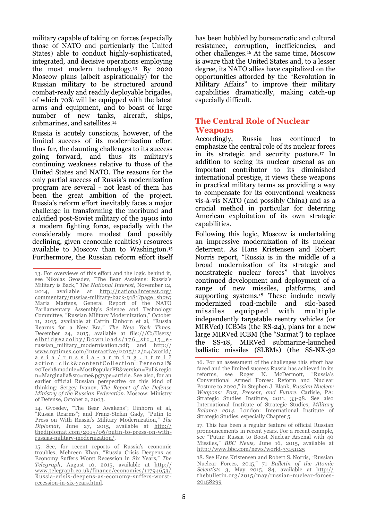military capable of taking on forces (especially those of NATO and particularly the United States) able to conduct highly-sophisticated, integrated, and decisive operations employing the most modern technology.<sup>13</sup> By 2020 Moscow plans (albeit aspirationally) for the Russian military to be structured around combat-ready and readily deployable brigades, of which 70% will be equipped with the latest arms and equipment, and to boast of large number of new tanks, aircraft, ships, submarines, and satellites.<sup>14</sup>

Russia is acutely conscious, however, of the limited success of its modernization effort thus far, the daunting challenges to its success going forward, and thus its military's continuing weakness relative to those of the United States and NATO. The reasons for the only partial success of Russia's modernization program are several - not least of them has been the great ambition of the project. Russia's reform effort inevitably faces a major challenge in transforming the moribund and calcified post-Soviet military of the 1990s into a modern fighting force, especially with the considerably more modest (and possibly declining, given economic realities) resources available to Moscow than to Washington.<sup>15</sup> Furthermore, the Russian reform effort itself has been hobbled by bureaucratic and cultural resistance, corruption, inefficiencies, and other challenges.<sup>16</sup> At the same time, Moscow is aware that the United States and, to a lesser degree, its NATO allies have capitalized on the opportunities afforded by the "Revolution in Military Affairs" to improve their military capabilities dramatically, making catch-up especially difficult.

## **The Central Role of Nuclear Weapons**

Accordingly, Russia has continued to emphasize the central role of its nuclear forces in its strategic and security posture.<sup>17</sup> In addition to seeing its nuclear arsenal as an important contributor to its diminished international prestige, it views these weapons in practical military terms as providing a way to compensate for its conventional weakness vis-à-vis NATO (and possibly China) and as a crucial method in particular for deterring American exploitation of its own strategic capabilities.

Following this logic, Moscow is undertaking an impressive modernization of its nuclear deterrent. As Hans Kristensen and Robert Norris report, "Russia is in the middle of a broad modernization of its strategic and nonstrategic nuclear forces" that involves continued development and deployment of a range of new missiles, platforms, and supporting systems.<sup>18</sup> These include newly modernized road-mobile and silo-based missiles equipped with multiple independently targetable reentry vehicles (or MIRVed) ICBMs (the RS-24), plans for a new large MIRVed ICBM (the "Sarmat") to replace the SS-18, MIRVed submarine-launched ballistic missiles (SLBMs) (the SS-NX-32

<sup>13.</sup> For overviews of this effort and the logic behind it, see Nikolas Gvosdev, "The Bear Awakens: Russia's Military is Back," *The National Interest*, November 12, 2014, available at [http://nationalinterest.org/](http://nationalinterest.org/commentary/russias-military-back-9181?page=show) commentary/russias-military-back-9181?page=show; Maria Martens, General Report of the NATO Parliamentary Assembly's Science and Technology Committee, "Russian Military Modernization," October 11, 2015, available at Catrin Einhorn et al, "Russia Rearms for a New Era," *The New York Times*, December 24, 2015, available at [file:///C:/Users/](file:///C:/Users/elbridgeacolby/Downloads/176_stc_15_e-russian_military_modernisation.pdf) elbridgeacolby/Downloads/176 stc 15 e[russian\\_military\\_modernisation.pdf;](file:///C:/Users/elbridgeacolby/Downloads/176_stc_15_e-russian_military_modernisation.pdf) and http:// www.nytimes.com/interactive/2015/12/24/world/ a s i a / r u s s i a - a r m i n g . h t m l ? action=click&contentCollection=Personal% 20Tech&module=MostPopularFB&version=Full&regio n=Marginalia&src=me&pgtype=article. See also, for an earlier official Russian perspective on this kind of thinking: Sergey Ivanov, *The Report of the Defense Ministry of the Russian Federation*. Moscow: Ministry of Defense, October 2, 2003.

<sup>14.</sup> Gvosdev, "The Bear Awakens"; Einhorn et al, "Russia Rearms"; and Franz-Stefan Gady, "Putin to Press on With Russia's Military Modernization," *The Diplomat*, June 27, 2015, available at [http://](http://thediplomat.com/2015/06/putin-to-press-on-with-russias-military-modernization/) [thediplomat.com/2015/06/putin-to-press-on-with](http://thediplomat.com/2015/06/putin-to-press-on-with-russias-military-modernization/)[russias-military-modernization/.](http://thediplomat.com/2015/06/putin-to-press-on-with-russias-military-modernization/) 

<sup>15.</sup> See, for recent reports of Russia's economic troubles, Mehreen Khan, "Russia Crisis Deepens as Economy Suffers Worst Recession in Six Years," *The Telegraph*, August 10, 2015, available at http:// www.telegraph.co.uk/finance/economics/11794653/ Russia-crisis-deepens-as-economy-suffers-worstrecession-in-six-years.html.

<sup>16.</sup> For an assessment of the challenges this effort has faced and the limited success Russia has achieved in its reforms, see Roger N. McDermott, "Russia's Conventional Armed Forces: Reform and Nuclear Posture to 2020," in Stephen J. Blank, *Russian Nuclear Weapons: Past, Present, and Future*. Carlisle, PA: Strategic Studies Institute, 2011, 33-98. See also International Institute of Strategic Studies, *Military Balance 2014*. London: International Institute of Strategic Studies, especially Chapter 5.

<sup>17.</sup> This has been a regular feature of official Russian pronouncements in recent years. For a recent example, see "Putin: Russia to Boost Nuclear Arsenal with 40 Missiles," *BBC News,* June 16, 2015, available at http://www.bbc.com/news/world-33151125

<sup>18.</sup> See Hans Kristensen and Robert S. Norris, "Russian Nuclear Forces, 2015," 71 *Bulletin of the Atomic Scientists* 3, May 2015, 84, available at http:// thebulletin.org/2015/may/russian-nuclear-forces-20158299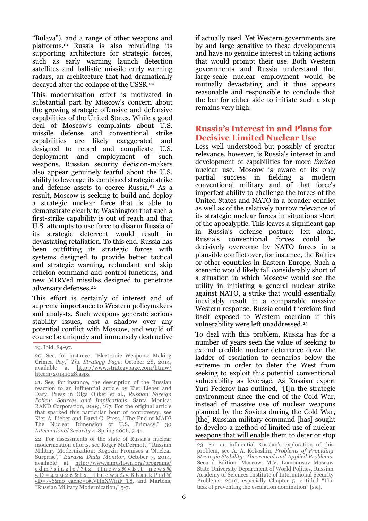"Bulava"), and a range of other weapons and platforms.<sup>19</sup> Russia is also rebuilding its supporting architecture for strategic forces, such as early warning launch detection satellites and ballistic missile early warning radars, an architecture that had dramatically decayed after the collapse of the USSR.<sup>20</sup>

This modernization effort is motivated in substantial part by Moscow's concern about the growing strategic offensive and defensive capabilities of the United States. While a good deal of Moscow's complaints about U.S. missile defense and conventional strike capabilities are likely exaggerated and designed to retard and complicate U.S. deployment and employment of such weapons, Russian security decision-makers also appear genuinely fearful about the U.S. ability to leverage its combined strategic strike and defense assets to coerce Russia.<sup>21</sup> As a result, Moscow is seeking to build and deploy a strategic nuclear force that is able to demonstrate clearly to Washington that such a first-strike capability is out of reach and that U.S. attempts to use force to disarm Russia of its strategic deterrent would result in devastating retaliation. To this end, Russia has been outfitting its strategic forces with systems designed to provide better tactical and strategic warning, redundant and skip echelon command and control functions, and new MIRVed missiles designed to penetrate adversary defenses.<sup>22</sup>

This effort is certainly of interest and of supreme importance to Western policymakers and analysts. Such weapons generate serious stability issues, cast a shadow over any potential conflict with Moscow, and would of course be uniquely and immensely destructive if actually used. Yet Western governments are by and large sensitive to these developments and have no genuine interest in taking actions that would prompt their use. Both Western governments and Russia understand that large-scale nuclear employment would be mutually devastating and it thus appears reasonable and responsible to conclude that the bar for either side to initiate such a step remains very high.

# **Russia's Interest in and Plans for Decisive Limited Nuclear Use**

Less well understood but possibly of greater relevance, however, is Russia's interest in and development of capabilities for more *limited* nuclear use. Moscow is aware of its only partial success in fielding a modern conventional military and of that force's imperfect ability to challenge the forces of the United States and NATO in a broader conflict as well as of the relatively narrow relevance of its strategic nuclear forces in situations short of the apocalyptic. This leaves a significant gap in Russia's defense posture: left alone, Russia's conventional forces could be decisively overcome by NATO forces in a plausible conflict over, for instance, the Baltics or other countries in Eastern Europe. Such a scenario would likely fall considerably short of a situation in which Moscow would see the utility in initiating a general nuclear strike against NATO, a strike that would essentially inevitably result in a comparable massive Western response. Russia could therefore find itself exposed to Western coercion if this vulnerability were left unaddressed.<sup>23</sup>

To deal with this problem, Russia has for a number of years seen the value of seeking to extend credible nuclear deterrence down the ladder of escalation to scenarios below the extreme in order to deter the West from seeking to exploit this potential conventional vulnerability as leverage. As Russian expert Yuri Federov has outlined, "[I]n the strategic environment since the end of the Cold War, instead of massive use of nuclear weapons planned by the Soviets during the Cold War, [the] Russian military command [has] sought to develop a method of limited use of nuclear weapons that will enable them to deter or stop

<sup>19.</sup> Ibid, 84-97.

<sup>20.</sup> See, for instance, "Electronic Weapons: Making Crimea Pay," *The Strategy Page*, October 28, 2014, available at http://www.strategypage.com/htmw/ htecm/20141028.aspx

<sup>21.</sup> See, for instance, the description of the Russian reaction to an influential article by Kier Lieber and Daryl Press in Olga Oliker et al., *Russian Foreign Policy: Sources and Implications*. Santa Monica: RAND Corporation, 2009, 167. For the original article that sparked this particular bout of controversy, see Kier A. Lieber and Daryl G. Press, "The End of MAD? The Nuclear Dimension of U.S. Primacy," 30 *International Security* 4, Spring 2006, 7-44.

<sup>22.</sup> For assessments of the state of Russia's nuclear modernization efforts, see Roger McDermott, "Russian Military Modernization: Rogozin Promises a 'Nuclear Surprise'," *Eurasia Daily Monitor*, October 7, 2014, available at [http://www.jamestown.org/programs/](http://www.jamestown.org/programs/edm/single/?tx_ttnews%5Btt_news%5D=42926&tx_ttnews%5BbackPid%5D=756&no_cache=1#.VHnXWfnF_T8) ed m / single / ? tx ttnews % 5 B tt n e w s % 5 D = 4 2 9 2 6 & t x t t n e w s % 5 B b a c k P i d % [5D=756&no\\_cache=1#.VHnXWfnF\\_T8,](http://www.jamestown.org/programs/edm/single/?tx_ttnews%5Btt_news%5D=42926&tx_ttnews%5BbackPid%5D=756&no_cache=1#.VHnXWfnF_T8) and Martens, "Russian Military Modernization," 5-7.

<sup>23.</sup> For an influential Russian's exploration of this problem, see A. A. Kokoshin, *Problems of Providing Strategic Stability: Theoretical and Applied Problems*. Second Edition. Moscow: M.V. Lomonosov Moscow State University Department of World Politics, Russian Academy of Sciences Institute of International Security Problems, 2010, especially Chapter 5, entitled "The task of preventing the escalation domination" [sic].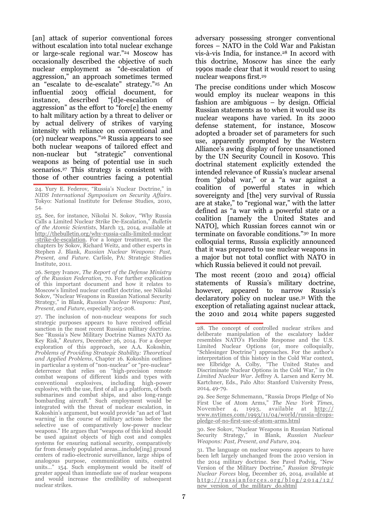[an] attack of superior conventional forces without escalation into total nuclear exchange or large-scale regional war."<sup>24</sup> Moscow has occasionally described the objective of such nuclear employment as "de-escalation of aggression," an approach sometimes termed an "escalate to de-escalate" strategy."<sup>25</sup> An influential 2003 official document, for instance, described "[d]e-escalation of aggression" as the effort to "forc[e] the enemy to halt military action by a threat to deliver or by actual delivery of strikes of varying intensity with reliance on conventional and (or) nuclear weapons."<sup>26</sup> Russia appears to see both nuclear weapons of tailored effect and non-nuclear but "strategic" conventional weapons as being of potential use in such scenarios.<sup>27</sup> This strategy is consistent with those of other countries facing a potential

25. See, for instance, Nikolai N. Sokov, "Why Russia Calls a Limited Nuclear Strike De-Escalation," *Bulletin of the Atomic Scientists*, March 13, 2014, available at http://thebulletin.org/why-russia-calls-limited-nuclear -strike-de-escalation. For a longer treatment, see the chapters by Sokov, Richard Weitz, and other experts in Stephen J. Blank, *Russian Nuclear Weapons: Past, Present, and Future*. Carlisle, PA: Strategic Studies Institute, 2011.

26. Sergey Ivanov, *The Report of the Defense Ministry of the Russian Federation*, 70. For further explication of this important document and how it relates to Moscow's limited nuclear conflict doctrine, see Nikolai Sokov, "Nuclear Weapons in Russian National Security Strategy," in Blank, *Russian Nuclear Weapons: Past, Present, and Future*, especially 205-208.

27. The inclusion of non-nuclear weapons for such strategic purposes appears to have received official sanction in the most recent Russian military doctrine. See "Russia's New Military Doctrine Names NATO As Key Risk," *Reuters*, December 26, 2014. For a deeper exploration of this approach, see A.A. Kokoshin, *Problems of Providing Strategic Stability: Theoretical and Applied Problems*, Chapter 16. Kokoshin outlines in particular a system of "non-nuclear" or "pre-nuclear" deterrence that relies on "high-precision remote combat weapons of different kinds and types with conventional explosives, including high-power explosive, with the use, first of all as a platform, of both submarines and combat ships, and also long-range bombarding aircraft." Such employment would be integrated with the threat of nuclear escalation, in Kokoshin's argument, but would provide "an act of 'last warning' in the course of military actions before the selective use of comparatively low-power nuclear weapons." He argues that "weapons of this kind should be used against objects of high cost and complex systems for ensuring national security, comparatively far from densely populated areas…include[ing] ground centers of radio-electronic surveillance, large ships of analogous purpose, communication units, control units…" 154. Such employment would be itself of greater appeal than immediate use of nuclear weapons and would increase the credibility of subsequent nuclear strikes.

adversary possessing stronger conventional forces – NATO in the Cold War and Pakistan vis-à-vis India, for instance.<sup>28</sup> In accord with this doctrine, Moscow has since the early 1990s made clear that it would resort to using nuclear weapons first.<sup>29</sup>

The precise conditions under which Moscow would employ its nuclear weapons in this fashion are ambiguous – by design. Official Russian statements as to when it would use its nuclear weapons have varied. In its 2000 defense statement, for instance, Moscow adopted a broader set of parameters for such use, apparently prompted by the Western Alliance's awing display of force unsanctioned by the UN Security Council in Kosovo. This doctrinal statement explicitly extended the intended relevance of Russia's nuclear arsenal from "global war," or a "a war against a coalition of powerful states in which sovereignty and [the] very survival of Russia are at stake," to "regional war," with the latter defined as "a war with a powerful state or a coalition [namely the United States and NATO], which Russian forces cannot win or terminate on favorable conditions."<sup>30</sup> In more colloquial terms, Russia explicitly announced that it was prepared to use nuclear weapons in a major but not total conflict with NATO in which Russia believed it could not prevail.

The most recent (2010 and 2014) official statements of Russia's military doctrine, however, appeared to narrow Russia's declaratory policy on nuclear use.<sup>31</sup> With the exception of retaliating against nuclear attack, the 2010 and 2014 white papers suggested

29. See Serge Schmemann, "Russia Drops Pledge of No First Use of Atom Arms," *The New York Times*, November 4, 1993, available at http:// www.nytimes.com/1993/11/04/world/russia-dropspledge-of-no-first-use-of-atom-arms.html

30. See Sokov, "Nuclear Weapons in Russian National Security Strategy," in Blank, *Russian Nuclear Weapons: Past, Present, and Future*, 204.

<sup>24.</sup> Yury E. Federov, "Russia's Nuclear Doctrine," in *NIDS International Symposium on Security Affairs*. Tokyo: National Institute for Defense Studies, 2010, 54.

<sup>28.</sup> The concept of controlled nuclear strikes and deliberate manipulation of the escalatory ladder resembles NATO's Flexible Response and the U.S. Limited Nuclear Options (or, more colloquially, "Schlesinger Doctrine") approaches. For the author's interpretation of this history in the Cold War context, see Elbridge A. Colby, "The United States and Discriminate Nuclear Options in the Cold War," in *On Limited Nuclear War*. Jeffrey A. Larsen and Kerry M. Kartchner, Eds., Palo Alto: Stanford University Press, 2014, 49-79.

<sup>31.</sup> The language on nuclear weapons appears to have been left largely unchanged from the 2010 version in the 2014 military doctrine. See Pavel Podvig, "New Version of the Military Doctrine," *Russian Strategic Nuclear Forces* blog, December 26, 2014, available at  $http://russianforces.org/blog/2014/12/$ new version of the military do.shtml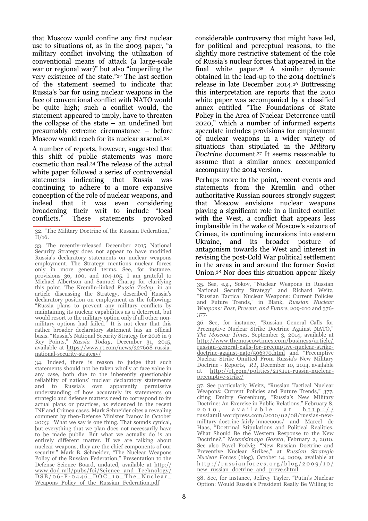that Moscow would confine any first nuclear use to situations of, as in the 2003 paper, "a military conflict involving the utilization of conventional means of attack (a large-scale war or regional war)" but also "imperiling the very existence of the state."<sup>32</sup> The last section of the statement seemed to indicate that Russia's bar for using nuclear weapons in the face of conventional conflict with NATO would be quite high; such a conflict would, the statement appeared to imply, have to threaten the collapse of the state – an undefined but presumably extreme circumstance – before Moscow would reach for its nuclear arsenal.<sup>33</sup>

A number of reports, however, suggested that this shift of public statements was more cosmetic than real.<sup>34</sup> The release of the actual white paper followed a series of controversial statements indicating that Russia was continuing to adhere to a more expansive conception of the role of nuclear weapons, and indeed that it was even considering broadening their writ to include "local conflicts." These statements provoked

34. Indeed, there is reason to judge that such statements should not be taken wholly at face value in any case, both due to the inherently questionable reliability of nations' nuclear declaratory statements and to Russia's own apparently permissive understanding of how accurately its statements on strategic and defense matters need to correspond to its actual plans or practices, as evidenced in the recent INF and Crimea cases. Mark Schneider cites a revealing comment by then-Defense Minister Ivanov in October 2003: "What we say is one thing. That sounds cynical, but everything that we plan does not necessarily have to be made public. But what we actually do is an entirely different matter. If we are talking about nuclear weapons, they are the chief components of our security." Mark B. Schneider, "The Nuclear Weapons Policy of the Russian Federation," Presentation to the Defense Science Board, undated, available at http:// www.dod.mil/pubs/foi/Science\_and\_Technology/ D S B / 0 6 - F - 0 4 4 6 D O C 10 The Nuclear Weapons Policy of the Russian Federation.pdf

considerable controversy that might have led, for political and perceptual reasons, to the slightly more restrictive statement of the role of Russia's nuclear forces that appeared in the final white paper.<sup>35</sup> A similar dynamic obtained in the lead-up to the 2014 doctrine's release in late December 2014.<sup>36</sup> Buttressing this interpretation are reports that the 2010 white paper was accompanied by a classified annex entitled "The Foundations of State Policy in the Area of Nuclear Deterrence until 2020," which a number of informed experts speculate includes provisions for employment of nuclear weapons in a wider variety of situations than stipulated in the *Military Doctrine* document.<sup>37</sup> It seems reasonable to assume that a similar annex accompanied accompany the 2014 version.

Perhaps more to the point, recent events and statements from the Kremlin and other authoritative Russian sources strongly suggest that Moscow envisions nuclear weapons playing a significant role in a limited conflict with the West, a conflict that appears less implausible in the wake of Moscow's seizure of Crimea, its continuing incursions into eastern Ukraine, and its broader posture of antagonism towards the West and interest in revising the post-Cold War political settlement in the areas in and around the former Soviet Union.<sup>38</sup> Nor does this situation appear likely

37. See particularly Weitz, "Russian Tactical Nuclear Weapons: Current Policies and Future Trends," 377, citing Dmitry Gorenburg, "Russia's New Military Doctrine: An Exercise in Public Relations," February 8,  $2010$ , available at  $\frac{h \text{ ttp}:77}{h}$ russiamil.wordpress.com/2010/02/08/russias-newmilitary-doctrine-fairly-innocuous/ and Marcel de Haas, "Doctrinal Stipulations and Political Realities. What Should Be the Western Response to the New Doctrine?," *Nezavisimaya Gazeta*, February 2, 2010. See also Pavel Podvig, "New Russian Doctrine and Preventive Nuclear Strikes," at *Russian Strategic Nuclear Forces* (blog), October 14, 2009, available at  $http://russianforces.org/blog/2009/10/$ new\_russian\_doctrine\_and\_preve.shtml

38. See, for instance, Jeffrey Tayler, "Putin's Nuclear Option: Would Russia's President Really Be Willing to

<sup>32. &</sup>quot;The Military Doctrine of the Russian Federation," II/16.

<sup>33.</sup> The recently-released December 2015 National Security Strategy does not appear to have modified Russia's declaratory statements on nuclear weapons employment. The Strategy mentions nuclear forces only in more general terms. See, for instance, provisions 36, 100, and 104-105. I am grateful to Michael Albertson and Samuel Charap for clarifying this point. The Kremlin-linked *Russia Today*, in an article discussing the Strategy, described Russia's declaratory position on employment as the following: "Russia plans to prevent any military conflicts by maintaining its nuclear capabilities as a deterrent, but would resort to the military option only if all other nonmilitary options had failed." It is not clear that this rather broader declaratory statement has an official basis. "Russia's National Security Strategy for 2016 in 9 Key Points," *Russia Today*, December 31, 2015, available at [https://www.rt.com/news/327608-russia](https://www.rt.com/news/327608-russia-national-security-strategy/)[national-security-strategy/](https://www.rt.com/news/327608-russia-national-security-strategy/)

<sup>35.</sup> See, e.g., Sokov, "Nuclear Weapons in Russian National Security Strategy" and Richard Weitz, "Russian Tactical Nuclear Weapons: Current Policies and Future Trends," in Blank, *Russian Nuclear Weapons: Past, Present, and Future*, 209-210 and 376- 377.

<sup>36.</sup> See, for instance, "Russian General Calls for Preemptive Nuclear Strike Doctrine Against NATO," *The Moscow Times*, September 3, 2014, available at http://www.themoscowtimes.com/business/article/ russian-general-calls-for-preemptive-nuclear-strikedoctrine-against-nato/506370.html and "Preemptive Nuclear Strike Omitted From Russia's New Military Doctrine - Reports," *RT*, December 10, 2014, available at http://rt.com/politics/213111-russia-nuclearpreemptive-strike/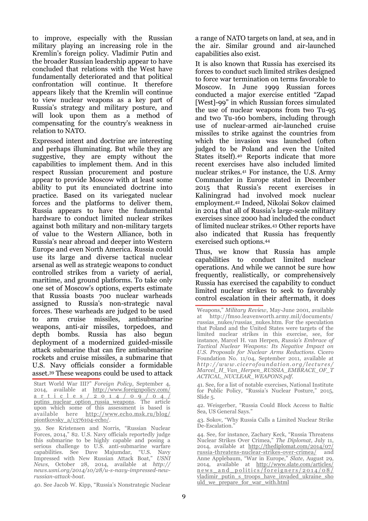to improve, especially with the Russian military playing an increasing role in the Kremlin's foreign policy. Vladimir Putin and the broader Russian leadership appear to have concluded that relations with the West have fundamentally deteriorated and that political confrontation will continue. It therefore appears likely that the Kremlin will continue to view nuclear weapons as a key part of Russia's strategy and military posture, and will look upon them as a method of compensating for the country's weakness in relation to NATO.

Expressed intent and doctrine are interesting and perhaps illuminating. But while they are suggestive, they are empty without the capabilities to implement them. And in this respect Russian procurement and posture appear to provide Moscow with at least some ability to put its enunciated doctrine into practice. Based on its variegated nuclear forces and the platforms to deliver them, Russia appears to have the fundamental hardware to conduct limited nuclear strikes against both military and non-military targets of value to the Western Alliance, both in Russia's near abroad and deeper into Western Europe and even North America. Russia could use its large and diverse tactical nuclear arsenal as well as strategic weapons to conduct controlled strikes from a variety of aerial, maritime, and ground platforms. To take only one set of Moscow's options, experts estimate that Russia boasts 700 nuclear warheads assigned to Russia's non-strategic naval forces. These warheads are judged to be used to arm cruise missiles, antisubmarine weapons, anti-air missiles, torpedoes, and depth bombs. Russia has also begun deployment of a modernized guided-missile attack submarine that can fire antisubmarine rockets and cruise missiles, a submarine that U.S. Navy officials consider a formidable asset.<sup>39</sup> These weapons could be used to attack

Start World War III?" *Foreign Policy*, September 4, 2014, available at http://www.foreignpolicy.com/ a r t i c l e s / 2 0 1 4 / 0 9 / 0 4 / putins nuclear option russia weapons. The article upon which some of this assessment is based is available here http://www.echo.msk.ru/blog/ piontkovsky\_a/1376104-echo/.

39. See Kristensen and Norris, "Russian Nuclear Forces, 2014," 82. U.S. Navy officials reportedly judge this submarine to be highly capable and posing a serious challenge to U.S. anti-submarine warfare capabilities. See Dave Majumdar, "U.S. Navy Impressed with New Russian Attack Boat," *USNI News*, October 28, 2014, available at *http:// news.usni.org/2014/10/28/u-s-navy-impressed-newrussian-attack-boat*.

40. See Jacob W. Kipp, "Russia's Nonstrategic Nuclear

a range of NATO targets on land, at sea, and in the air. Similar ground and air-launched capabilities also exist.

It is also known that Russia has exercised its forces to conduct such limited strikes designed to force war termination on terms favorable to Moscow. In June 1999 Russian forces conducted a major exercise entitled "Zapad [West]-99" in which Russian forces simulated the use of nuclear weapons from two Tu-95 and two Tu-160 bombers, including through use of nuclear-armed air-launched cruise missiles to strike against the countries from which the invasion was launched (often judged to be Poland and even the United States itself).<sup>40</sup> Reports indicate that more recent exercises have also included limited nuclear strikes.<sup>41</sup> For instance, the U.S. Army Commander in Europe stated in December 2015 that Russia's recent exercises in Kaliningrad had involved mock nuclear employment.<sup>42</sup> Indeed, Nikolai Sokov claimed in 2014 that all of Russia's large-scale military exercises since 2000 had included the conduct of limited nuclear strikes.<sup>43</sup> Other reports have also indicated that Russia has frequently exercised such options.<sup>44</sup>

Thus, we know that Russia has ample capabilities to conduct limited nuclear operations. And while we cannot be sure how frequently, realistically, or comprehensively Russia has exercised the capability to conduct limited nuclear strikes to seek to favorably control escalation in their aftermath, it does

Weapons," *Military Review*, May-June 2001, available at http://fmso.leavenworth.army.mil/documents/ russias\_nukes/russias\_nukes.htm. For the speculation that Poland and the United States were targets of the limited nuclear strikes in this exercise, see, for instance, Marcel H. van Herpen, *Russia's Embrace of Tactical Nuclear Weapons: Its Negative Impact on U.S. Proposals for Nuclear Arms Reductions*. Cicero Foundation No. 11/04, September 2011, available at *http: //w w w .cicer of oundation.or g/lectur es/ Marcel\_H\_Van\_Herpen\_RUSSIA\_EMBRACE\_OF\_T ACTICAL\_NUCLEAR\_WEAPONS.pdf*.

<sup>41.</sup> See, for a list of notable exercises, National Institute for Public Policy, "Russia's Nuclear Posture," 2015, Slide 5.

<sup>42.</sup> Weisgerber, "Russia Could Block Access to Baltic Sea, US General Says."

<sup>43.</sup> Sokov, "Why Russia Calls a Limited Nuclear Strike De-Escalation."

<sup>44.</sup> See, for instance, Zachary Keck, "Russia Threatens Nuclear Strikes Over Crimea," *The Diplomat*, July 11, 2014, available at http://thediplomat.com/2014/07/ russia-threatens-nuclear-strikes-over-crimea/ and Anne Applebaum, "War in Europe," *Slate*, August 29, 2014, available at http://www.slate.com/articles/ news and politics/foreigners/2014/08/ vladimir\_putin\_s\_troops\_have\_invaded\_ukraine\_sho uld\_we\_prepare\_for\_war\_with.html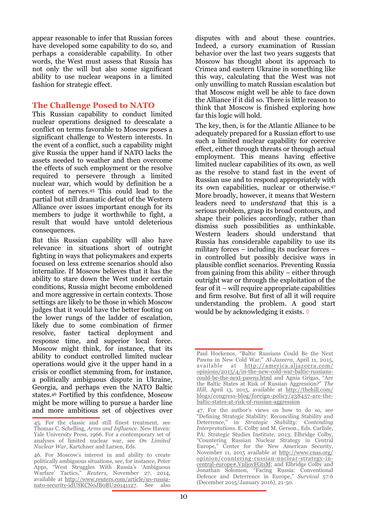appear reasonable to infer that Russian forces have developed some capability to do so, and perhaps a considerable capability. In other words, the West must assess that Russia has not only the will but also some significant ability to use nuclear weapons in a limited fashion for strategic effect.

## **The Challenge Posed to NATO**

This Russian capability to conduct limited nuclear operations designed to deescalate a conflict on terms favorable to Moscow poses a significant challenge to Western interests. In the event of a conflict, such a capability might give Russia the upper hand if NATO lacks the assets needed to weather and then overcome the effects of such employment or the resolve required to persevere through a limited nuclear war, which would by definition be a contest of nerves.<sup>45</sup> This could lead to the partial but still dramatic defeat of the Western Alliance over issues important enough for its members to judge it worthwhile to fight, a result that would have untold deleterious consequences.

But this Russian capability will also have relevance in situations short of outright fighting in ways that policymakers and experts focused on less extreme scenarios should also internalize. If Moscow believes that it has the ability to stare down the West under certain conditions, Russia might become emboldened and more aggressive in certain contexts. Those settings are likely to be those in which Moscow judges that it would have the better footing on the lower rungs of the ladder of escalation, likely due to some combination of firmer resolve, faster tactical deployment and response time, and superior local force. Moscow might think, for instance, that its ability to conduct controlled limited nuclear operations would give it the upper hand in a crisis or conflict stemming from, for instance, a politically ambiguous dispute in Ukraine, Georgia, and perhaps even the NATO Baltic states.<sup>46</sup> Fortified by this confidence, Moscow might be more willing to pursue a harder line and more ambitious set of objectives over

disputes with and about these countries. Indeed, a cursory examination of Russian behavior over the last two years suggests that Moscow has thought about its approach to Crimea and eastern Ukraine in something like this way, calculating that the West was not only unwilling to match Russian escalation but that Moscow might well be able to face down the Alliance if it did so. There is little reason to think that Moscow is finished exploring how far this logic will hold.

The key, then, is for the Atlantic Alliance to be adequately prepared for a Russian effort to use such a limited nuclear capability for coercive effect, either through threats or through actual employment. This means having effective limited nuclear capabilities of its own, as well as the resolve to stand fast in the event of Russian use and to respond appropriately with its own capabilities, nuclear or otherwise.<sup>47</sup> More broadly, however, it means that Western leaders need to *understand* that this is a serious problem, grasp its broad contours, and shape their policies accordingly, rather than dismiss such possibilities as unthinkable. Western leaders should understand that Russia has considerable capability to use its military forces – including its nuclear forces – in controlled but possibly decisive ways in plausible conflict scenarios. Preventing Russia from gaining from this ability – either through outright war or through the exploitation of the fear of it – will require appropriate capabilities and firm resolve. But first of all it will require understanding the problem. A good start would be by acknowledging it exists.  $\Diamond$ 

<sup>45.</sup> For the classic and still finest treatment, see Thomas C. Schelling, *Arms and Influence*. New Haven: Yale University Press, 1966. For a contemporary set of analyses of limited nuclear war, see *On Limited Nuclear War*, Kartchner and Larsen, Eds.

<sup>46.</sup> For Moscow's interest in and ability to create politically ambiguous situations, see, for instance, Peter Apps, "West Struggles With Russia's 'Ambiguous Warfare' Tactics," *Reuters*, November 27, 2014, available at http://www.reuters.com/article/us-russianato-security-idUSKCN0JB0BU20141127. See also

Paul Hockenos, "Baltic Russians Could Be the Next Pawns in New Cold War," *Al-Jazeera*, April 11, 2015, available at http://america.aljazeera.com/ opinions/2015/4/in-the-new-cold-war-baltic-russianscould-be-the-next-pawns.html and Agnia Grigas, "Are the Baltic States at Risk of Russian Aggression?" *The Hill*, April 13, 2015, available at http://thehill.com/ blogs/congress-blog/foreign-policy/238457-are-thebaltic-states-at-risk-of-russian-aggression

<sup>47.</sup> For the author's views on how to do so, see "Defining Strategic Stability: Reconciling Stability and Deterrence," in *Strategic Stability: Contending Interpretations*. E. Colby and M. Gerson., Eds. Carlisle, PA: Strategic Studies Institute, 2013; Elbridge Colby, "Countering Russian Nuclear Strategy in Central Europe," Center for the New American Security, November 11, 2015 available at [http://www.cnas.org/](http://www.cnas.org/opinion/countering-russian-nuclear-strategy-in-central-europe#.VnljovFGtsM) [opinion/countering-russian-nuclear-strategy-in](http://www.cnas.org/opinion/countering-russian-nuclear-strategy-in-central-europe#.VnljovFGtsM)[central-europe#.VnljovFGtsM;](http://www.cnas.org/opinion/countering-russian-nuclear-strategy-in-central-europe#.VnljovFGtsM) and Elbridge Colby and Jonathan Solomon, "Facing Russia: Conventional Defence and Deterrence in Europe," *Survival* 57:6 (December 2015/January 2016), 21-50.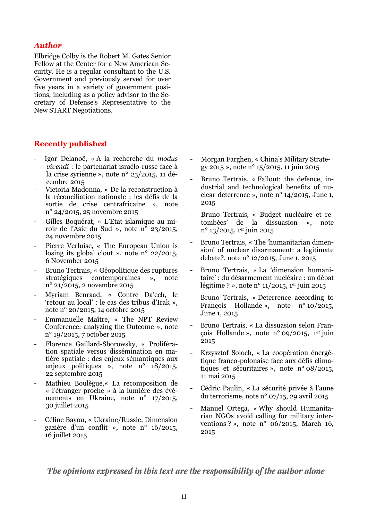#### *Author*

Elbridge Colby is the Robert M. Gates Senior Fellow at the Center for a New American Security. He is a regular consultant to the U.S. Government and previously served for over five years in a variety of government positions, including as a policy advisor to the Secretary of Defense's Representative to the New START Negotiations.

#### **Recently published**

- Igor Delanoë, « A la recherche du *modus vivendi* : le partenariat israélo-russe face à la crise syrienne », note n° 25/2015, 11 décembre 2015
- Victoria Madonna, « De la reconstruction à la réconciliation nationale : les défis de la sortie de crise centrafricaine », note n° 24/2015, 25 novembre 2015
- Gilles Boquérat, « L'Etat islamique au miroir de l'Asie du Sud », note n<sup> $\overline{0}$ </sup> 23/2015, 24 novembre 2015
- Pierre Verluise, « The European Union is losing its global clout », note n° 22/2015, 6 November 2015
- Bruno Tertrais, « Géopolitique des ruptures stratégiques contemporaines », note n° 21/2015, 2 novembre 2015
- Myriam Benraad, « Contre Da'ech, le 'retour au local' : le cas des tribus d'Irak », note n° 20/2015, 14 octobre 2015
- Emmanuelle Maître, « The NPT Review Conference: analyzing the Outcome », note n° 19/2015, 7 october 2015
- Florence Gaillard-Sborowsky, « Prolifération spatiale versus dissémination en matière spatiale : des enjeux sémantiques aux enjeux politiques », note n° 18/2015, 22 septembre 2015
- Mathieu Boulègue,« La recomposition de « l'étranger proche » à la lumière des événements en Ukraine, note n° 17/2015, 30 juillet 2015
- Céline Bayou, « Ukraine/Russie. Dimension gazière d'un conflit », note n° 16/2015, 16 juillet 2015
- Morgan Farghen, « China's Military Strategy 2015 », note n° 15/2015, 11 juin 2015
- Bruno Tertrais, « Fallout: the defence, industrial and technological benefits of nuclear deterrence », note n° 14/2015, June 1, 2015
- Bruno Tertrais, « Budget nucléaire et retombées' de la dissuasion », note  $n^{o}$  13/2015, 1er juin 2015
- Bruno Tertrais, « The 'humanitarian dimension' of nuclear disarmament: a legitimate debate?, note n° 12/2015, June 1, 2015
- Bruno Tertrais, « La 'dimension humanitaire' : du désarmement nucléaire : un débat légitime ? », note nº 11/2015, 1<sup>er</sup> juin 2015
- Bruno Tertrais, « Deterrence according to François Hollande », note n° 10/2015, June 1, 2015
- Bruno Tertrais, « La dissuasion selon François Hollande », note n° 09/2015, 1er juin 2015
- Krzysztof Soloch, « La coopération énergétique franco-polonaise face aux défis climatiques et sécuritaires », note n° 08/2015, 11 mai 2015
- Cédric Paulin, « La sécurité privée à l'aune du terrorisme, note n° 07/15, 29 avril 2015
- Manuel Ortega, « Why should Humanitarian NGOs avoid calling for military interventions ? », note n° 06/2015, March 16, 2015

The opinions expressed in this text are the responsibility of the author alone